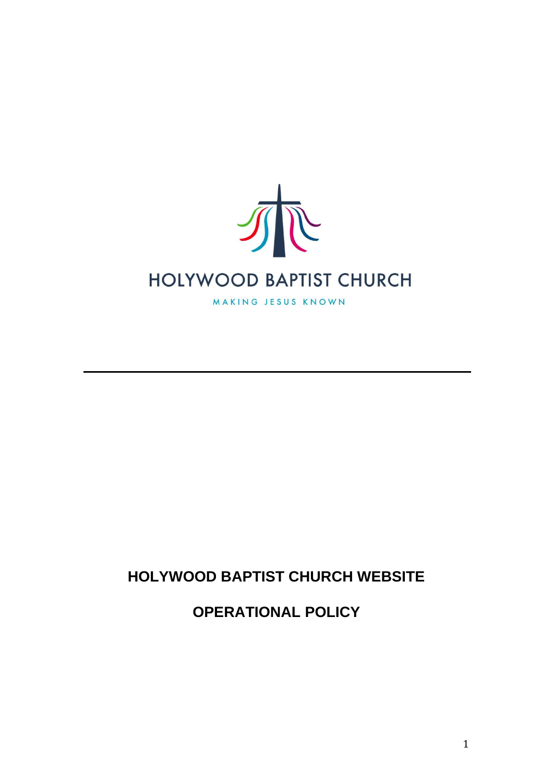

## **HOLYWOOD BAPTIST CHURCH WEBSITE**

**OPERATIONAL POLICY**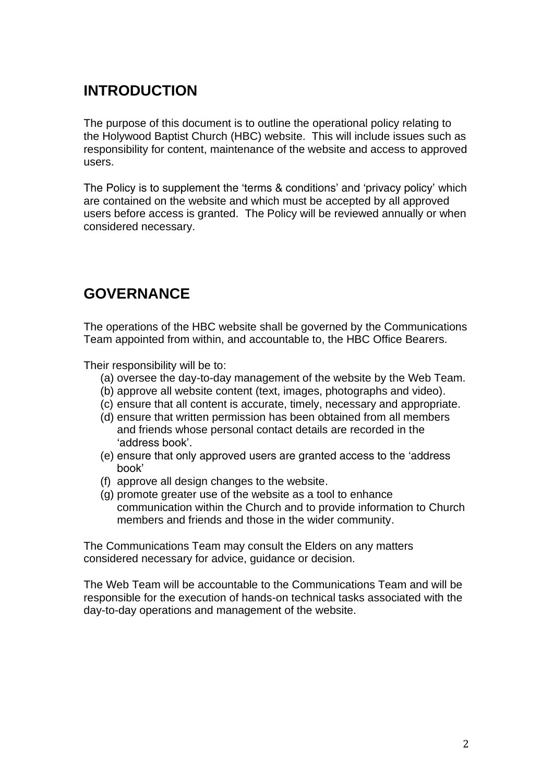#### **INTRODUCTION**

The purpose of this document is to outline the operational policy relating to the Holywood Baptist Church (HBC) website. This will include issues such as responsibility for content, maintenance of the website and access to approved users.

The Policy is to supplement the 'terms & conditions' and 'privacy policy' which are contained on the website and which must be accepted by all approved users before access is granted. The Policy will be reviewed annually or when considered necessary.

## **GOVERNANCE**

The operations of the HBC website shall be governed by the Communications Team appointed from within, and accountable to, the HBC Office Bearers.

Their responsibility will be to:

- (a) oversee the day-to-day management of the website by the Web Team.
- (b) approve all website content (text, images, photographs and video).
- (c) ensure that all content is accurate, timely, necessary and appropriate.
- (d) ensure that written permission has been obtained from all members and friends whose personal contact details are recorded in the 'address book'.
- (e) ensure that only approved users are granted access to the 'address book'
- (f) approve all design changes to the website.
- (g) promote greater use of the website as a tool to enhance communication within the Church and to provide information to Church members and friends and those in the wider community.

The Communications Team may consult the Elders on any matters considered necessary for advice, guidance or decision.

The Web Team will be accountable to the Communications Team and will be responsible for the execution of hands-on technical tasks associated with the day-to-day operations and management of the website.